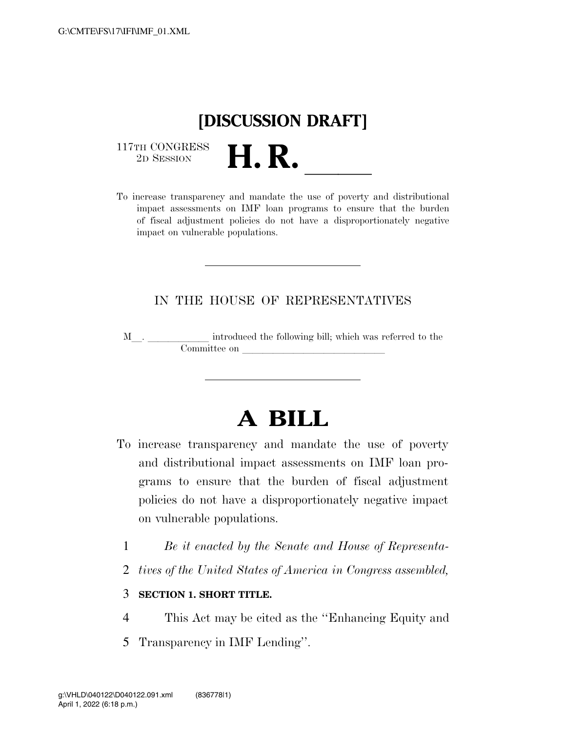## **[DISCUSSION DRAFT]**

 $\begin{array}{c} \text{117TH CONGRESS} \\ \text{2D SESION} \end{array}$ 

117TH CONGRESS<br>
2D SESSION<br>
To increase transparency and mandate the use of poverty and distributional impact assessments on IMF loan programs to ensure that the burden of fiscal adjustment policies do not have a disproportionately negative impact on vulnerable populations.

### IN THE HOUSE OF REPRESENTATIVES

M\_\_. \_\_\_\_\_\_\_\_\_\_\_\_ introduced the following bill; which was referred to the  ${\bf Committee \ on \ \_\_}$ 

# **A BILL**

- To increase transparency and mandate the use of poverty and distributional impact assessments on IMF loan programs to ensure that the burden of fiscal adjustment policies do not have a disproportionately negative impact on vulnerable populations.
	- 1 *Be it enacted by the Senate and House of Representa-*
	- 2 *tives of the United States of America in Congress assembled,*

### 3 **SECTION 1. SHORT TITLE.**

- 4 This Act may be cited as the ''Enhancing Equity and
- 5 Transparency in IMF Lending''.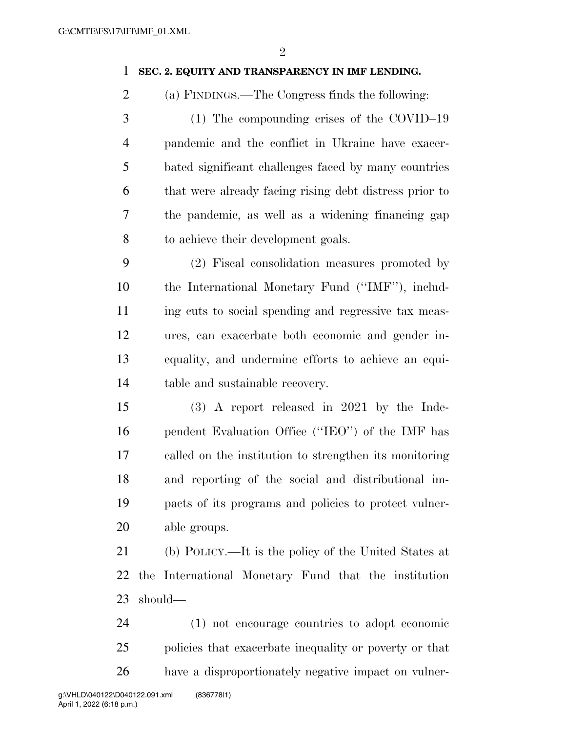### **SEC. 2. EQUITY AND TRANSPARENCY IN IMF LENDING.**

- (a) FINDINGS.—The Congress finds the following:
- (1) The compounding crises of the COVID–19 pandemic and the conflict in Ukraine have exacer- bated significant challenges faced by many countries that were already facing rising debt distress prior to the pandemic, as well as a widening financing gap to achieve their development goals.

 (2) Fiscal consolidation measures promoted by the International Monetary Fund (''IMF''), includ- ing cuts to social spending and regressive tax meas- ures, can exacerbate both economic and gender in- equality, and undermine efforts to achieve an equi-table and sustainable recovery.

 (3) A report released in 2021 by the Inde- pendent Evaluation Office (''IEO'') of the IMF has called on the institution to strengthen its monitoring and reporting of the social and distributional im- pacts of its programs and policies to protect vulner-able groups.

 (b) POLICY.—It is the policy of the United States at the International Monetary Fund that the institution should—

 (1) not encourage countries to adopt economic policies that exacerbate inequality or poverty or that have a disproportionately negative impact on vulner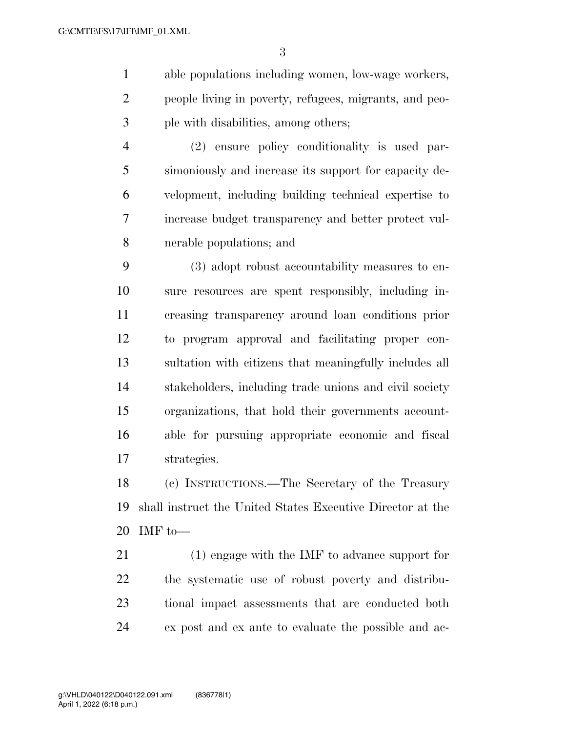able populations including women, low-wage workers, people living in poverty, refugees, migrants, and peo-ple with disabilities, among others;

 (2) ensure policy conditionality is used par- simoniously and increase its support for capacity de- velopment, including building technical expertise to increase budget transparency and better protect vul-nerable populations; and

 (3) adopt robust accountability measures to en- sure resources are spent responsibly, including in- creasing transparency around loan conditions prior to program approval and facilitating proper con- sultation with citizens that meaningfully includes all stakeholders, including trade unions and civil society organizations, that hold their governments account- able for pursuing appropriate economic and fiscal strategies.

 (c) INSTRUCTIONS.—The Secretary of the Treasury shall instruct the United States Executive Director at the IMF to—

 (1) engage with the IMF to advance support for the systematic use of robust poverty and distribu- tional impact assessments that are conducted both ex post and ex ante to evaluate the possible and ac